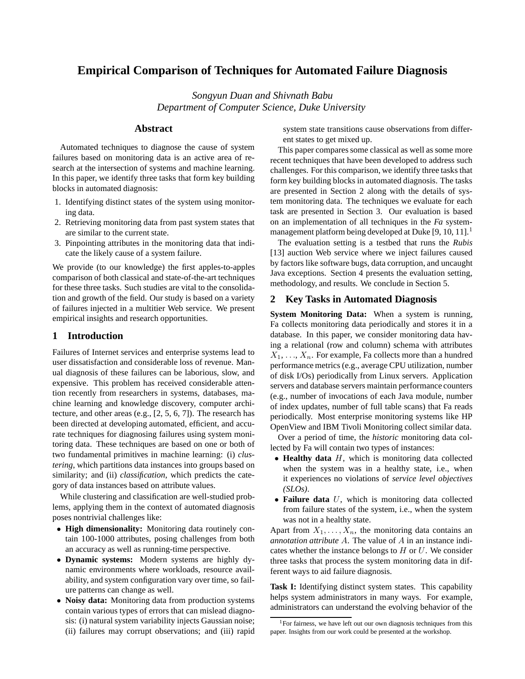# **Empirical Comparison of Techniques for Automated Failure Diagnosis**

*Songyun Duan and Shivnath Babu Department of Computer Science, Duke University*

## **Abstract**

Automated techniques to diagnose the cause of system failures based on monitoring data is an active area of research at the intersection of systems and machine learning. In this paper, we identify three tasks that form key building blocks in automated diagnosis:

- 1. Identifying distinct states of the system using monitoring data.
- 2. Retrieving monitoring data from past system states that are similar to the current state.
- 3. Pinpointing attributes in the monitoring data that indicate the likely cause of a system failure.

We provide (to our knowledge) the first apples-to-apples comparison of both classical and state-of-the-art techniques for these three tasks. Such studies are vital to the consolidation and growth of the field. Our study is based on a variety of failures injected in a multitier Web service. We present empirical insights and research opportunities.

## **1 Introduction**

Failures of Internet services and enterprise systems lead to user dissatisfaction and considerable loss of revenue. Manual diagnosis of these failures can be laborious, slow, and expensive. This problem has received considerable attention recently from researchers in systems, databases, machine learning and knowledge discovery, computer architecture, and other areas (e.g., [2, 5, 6, 7]). The research has been directed at developing automated, efficient, and accurate techniques for diagnosing failures using system monitoring data. These techniques are based on one or both of two fundamental primitives in machine learning: (i) *clustering*, which partitions data instances into groups based on similarity; and (ii) *classification*, which predicts the category of data instances based on attribute values.

While clustering and classification are well-studied problems, applying them in the context of automated diagnosis poses nontrivial challenges like:

- **High dimensionality:** Monitoring data routinely contain 100-1000 attributes, posing challenges from both an accuracy as well as running-time perspective.
- **Dynamic systems:** Modern systems are highly dynamic environments where workloads, resource availability, and system configuration vary over time, so failure patterns can change as well.
- **Noisy data:** Monitoring data from production systems contain various types of errors that can mislead diagnosis: (i) natural system variability injects Gaussian noise; (ii) failures may corrupt observations; and (iii) rapid

system state transitions cause observations from different states to get mixed up.

This paper compares some classical as well as some more recent techniques that have been developed to address such challenges. For this comparison, we identify three tasks that form key building blocks in automated diagnosis. The tasks are presented in Section 2 along with the details of system monitoring data. The techniques we evaluate for each task are presented in Section 3. Our evaluation is based on an implementation of all techniques in the *Fa* systemmanagement platform being developed at Duke [9, 10, 11].<sup>1</sup>

The evaluation setting is a testbed that runs the *Rubis* [13] auction Web service where we inject failures caused by factors like software bugs, data corruption, and uncaught Java exceptions. Section 4 presents the evaluation setting, methodology, and results. We conclude in Section 5.

## **2 Key Tasks in Automated Diagnosis**

**System Monitoring Data:** When a system is running, Fa collects monitoring data periodically and stores it in a database. In this paper, we consider monitoring data having a relational (row and column) schema with attributes  $X_1, \ldots, X_n$ . For example, Fa collects more than a hundred performance metrics (e.g., average CPU utilization, number of disk I/Os) periodically from Linux servers. Application servers and database servers maintain performance counters (e.g., number of invocations of each Java module, number of index updates, number of full table scans) that Fa reads periodically. Most enterprise monitoring systems like HP OpenView and IBM Tivoli Monitoring collect similar data.

Over a period of time, the *historic* monitoring data collected by Fa will contain two types of instances:

- **Healthy data** H, which is monitoring data collected when the system was in a healthy state, i.e., when it experiences no violations of *service level objectives (SLOs)*.
- **Failure data** U, which is monitoring data collected from failure states of the system, i.e., when the system was not in a healthy state.

Apart from  $X_1, \ldots, X_n$ , the monitoring data contains an *annotation attribute* A. The value of A in an instance indicates whether the instance belongs to  $H$  or  $U$ . We consider three tasks that process the system monitoring data in different ways to aid failure diagnosis.

**Task I:** Identifying distinct system states. This capability helps system administrators in many ways. For example, administrators can understand the evolving behavior of the

<sup>&</sup>lt;sup>1</sup>For fairness, we have left out our own diagnosis techniques from this paper. Insights from our work could be presented at the workshop.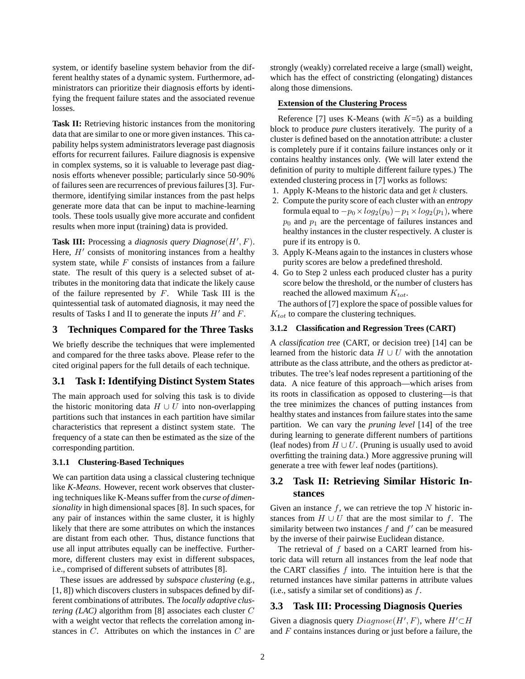system, or identify baseline system behavior from the different healthy states of a dynamic system. Furthermore, administrators can prioritize their diagnosis efforts by identifying the frequent failure states and the associated revenue losses.

**Task II:** Retrieving historic instances from the monitoring data that are similar to one or more given instances. This capability helps system administrators leverage past diagnosis efforts for recurrent failures. Failure diagnosis is expensive in complex systems, so it is valuable to leverage past diagnosis efforts whenever possible; particularly since 50-90% of failures seen are recurrences of previousfailures [3]. Furthermore, identifying similar instances from the past helps generate more data that can be input to machine-learning tools. These tools usually give more accurate and confident results when more input (training) data is provided.

**Task III:** Processing a *diagnosis query Diagnose* $(H', F)$ . Here,  $H'$  consists of monitoring instances from a healthy system state, while  $F$  consists of instances from a failure state. The result of this query is a selected subset of attributes in the monitoring data that indicate the likely cause of the failure represented by  $F$ . While Task III is the quintessential task of automated diagnosis, it may need the results of Tasks I and II to generate the inputs  $H'$  and F.

## **3 Techniques Compared for the Three Tasks**

We briefly describe the techniques that were implemented and compared for the three tasks above. Please refer to the cited original papers for the full details of each technique.

## **3.1 Task I: Identifying Distinct System States**

The main approach used for solving this task is to divide the historic monitoring data  $H \cup U$  into non-overlapping partitions such that instances in each partition have similar characteristics that represent a distinct system state. The frequency of a state can then be estimated as the size of the corresponding partition.

## **3.1.1 Clustering-Based Techniques**

We can partition data using a classical clustering technique like *K-Means*. However, recent work observes that clustering techniques like K-Means suffer from the *curse of dimensionality* in high dimensional spaces [8]. In such spaces, for any pair of instances within the same cluster, it is highly likely that there are some attributes on which the instances are distant from each other. Thus, distance functions that use all input attributes equally can be ineffective. Furthermore, different clusters may exist in different subspaces, i.e., comprised of different subsets of attributes [8].

These issues are addressed by *subspace clustering* (e.g., [1, 8]) which discovers clusters in subspaces defined by different combinations of attributes. The *locally adaptive clustering (LAC)* algorithm from [8] associates each cluster C with a weight vector that reflects the correlation among instances in C. Attributes on which the instances in C are strongly (weakly) correlated receive a large (small) weight, which has the effect of constricting (elongating) distances along those dimensions.

#### **Extension of the Clustering Process**

Reference [7] uses K-Means (with  $K=5$ ) as a building block to produce *pure* clusters iteratively. The purity of a cluster is defined based on the annotation attribute: a cluster is completely pure if it contains failure instances only or it contains healthy instances only. (We will later extend the definition of purity to multiple different failure types.) The extended clustering process in [7] works as follows:

- 1. Apply K-Means to the historic data and get  $k$  clusters.
- 2. Compute the purity score of each cluster with an *entropy* formula equal to  $-p_0 \times log_2(p_0) - p_1 \times log_2(p_1)$ , where  $p_0$  and  $p_1$  are the percentage of failures instances and healthy instances in the cluster respectively. A cluster is pure if its entropy is 0.
- 3. Apply K-Means again to the instances in clusters whose purity scores are below a predefined threshold.
- 4. Go to Step 2 unless each produced cluster has a purity score below the threshold, or the number of clusters has reached the allowed maximum  $K_{tot}$ .

The authors of [7] explore the space of possible values for  $K_{tot}$  to compare the clustering techniques.

### **3.1.2 Classification and Regression Trees (CART)**

A *classification tree* (CART, or decision tree) [14] can be learned from the historic data  $H \cup U$  with the annotation attribute as the class attribute, and the others as predictor attributes. The tree's leaf nodes represent a partitioning of the data. A nice feature of this approach—which arises from its roots in classification as opposed to clustering—is that the tree minimizes the chances of putting instances from healthy states and instances from failure states into the same partition. We can vary the *pruning level* [14] of the tree during learning to generate different numbers of partitions (leaf nodes) from  $H \cup U$ . (Pruning is usually used to avoid overfitting the training data.) More aggressive pruning will generate a tree with fewer leaf nodes (partitions).

## **3.2 Task II: Retrieving Similar Historic Instances**

Given an instance  $f$ , we can retrieve the top  $N$  historic instances from  $H \cup U$  that are the most similar to f. The similarity between two instances  $f$  and  $f'$  can be measured by the inverse of their pairwise Euclidean distance.

The retrieval of f based on a CART learned from historic data will return all instances from the leaf node that the CART classifies  $f$  into. The intuition here is that the returned instances have similar patterns in attribute values (i.e., satisfy a similar set of conditions) as  $f$ .

## **3.3 Task III: Processing Diagnosis Queries**

Given a diagnosis query  $Diagnose(H', F)$ , where  $H' \subset H$ and  $F$  contains instances during or just before a failure, the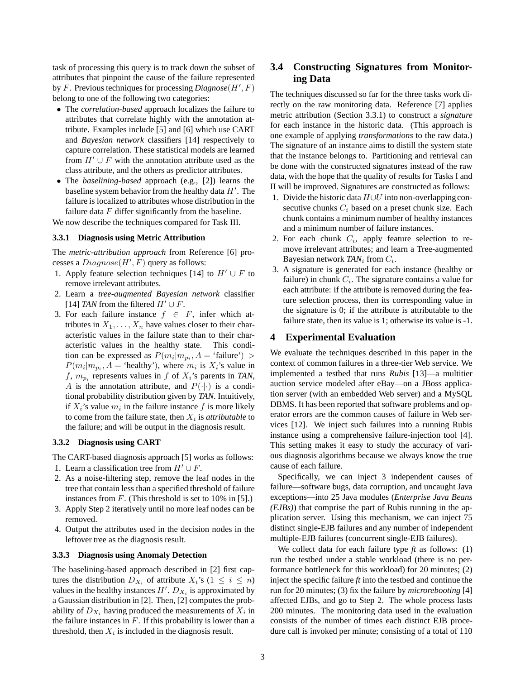task of processing this query is to track down the subset of attributes that pinpoint the cause of the failure represented by F. Previous techniques for processing  $Diagnose(H', F)$ belong to one of the following two categories:

- The *correlation-based* approach localizes the failure to attributes that correlate highly with the annotation attribute. Examples include [5] and [6] which use CART and *Bayesian network* classifiers [14] respectively to capture correlation. These statistical models are learned from  $H' \cup F$  with the annotation attribute used as the class attribute, and the others as predictor attributes.
- The *baselining-based* approach (e.g., [2]) learns the baseline system behavior from the healthy data  $H'$ . The failure is localized to attributes whose distribution in the failure data  $F$  differ significantly from the baseline.

We now describe the techniques compared for Task III.

#### **3.3.1 Diagnosis using Metric Attribution**

The *metric-attribution approach* from Reference [6] processes a  $Diagnose(H', F)$  query as follows:

- 1. Apply feature selection techniques [14] to  $H' \cup F$  to remove irrelevant attributes.
- 2. Learn a *tree-augmented Bayesian network* classifier [14] *TAN* from the filtered  $H' \cup F$ .
- 3. For each failure instance  $f \in F$ , infer which attributes in  $X_1, \ldots, X_n$  have values closer to their characteristic values in the failure state than to their characteristic values in the healthy state. This condition can be expressed as  $P(m_i|m_{p_i}, A = 'failure') >$  $P(m_i|m_{p_i}, A = \text{`healthy'}),$  where  $m_i$  is  $X_i$ 's value in  $f, m_{p_i}$  represents values in  $f$  of  $X_i$ 's parents in *TAN*, A is the annotation attribute, and  $P(\cdot|\cdot)$  is a conditional probability distribution given by *TAN*. Intuitively, if  $X_i$ 's value  $m_i$  in the failure instance f is more likely to come from the failure state, then  $X_i$  is *attributable* to the failure; and will be output in the diagnosis result.

#### **3.3.2 Diagnosis using CART**

The CART-based diagnosis approach [5] works as follows:

- 1. Learn a classification tree from  $H' \cup F$ .
- 2. As a noise-filtering step, remove the leaf nodes in the tree that contain less than a specified threshold of failure instances from  $F$ . (This threshold is set to 10% in [5].)
- 3. Apply Step 2 iteratively until no more leaf nodes can be removed.
- 4. Output the attributes used in the decision nodes in the leftover tree as the diagnosis result.

#### **3.3.3 Diagnosis using Anomaly Detection**

The baselining-based approach described in [2] first captures the distribution  $D_{X_i}$  of attribute  $X_i$ 's ( $1 \leq i \leq n$ ) values in the healthy instances  $H'$ .  $D_{X_i}$  is approximated by a Gaussian distribution in [2]. Then, [2] computes the probability of  $D_{X_i}$  having produced the measurements of  $X_i$  in the failure instances in  $F$ . If this probability is lower than a threshold, then  $X_i$  is included in the diagnosis result.

# **3.4 Constructing Signatures from Monitoring Data**

The techniques discussed so far for the three tasks work directly on the raw monitoring data. Reference [7] applies metric attribution (Section 3.3.1) to construct a *signature* for each instance in the historic data. (This approach is one example of applying *transformations* to the raw data.) The signature of an instance aims to distill the system state that the instance belongs to. Partitioning and retrieval can be done with the constructed signatures instead of the raw data, with the hope that the quality of results for Tasks I and II will be improved. Signatures are constructed as follows:

- 1. Divide the historic data H∪U into non-overlappingconsecutive chunks  $C_i$  based on a preset chunk size. Each chunk contains a minimum number of healthy instances and a minimum number of failure instances.
- 2. For each chunk  $C_i$ , apply feature selection to remove irrelevant attributes; and learn a Tree-augmented Bayesian network  $TAN_i$  from  $C_i$ .
- 3. A signature is generated for each instance (healthy or failure) in chunk  $C_i$ . The signature contains a value for each attribute: if the attribute is removed during the feature selection process, then its corresponding value in the signature is 0; if the attribute is attributable to the failure state, then its value is 1; otherwise its value is -1.

## **4 Experimental Evaluation**

We evaluate the techniques described in this paper in the context of common failures in a three-tier Web service. We implemented a testbed that runs *Rubis* [13]—a multitier auction service modeled after eBay—on a JBoss application server (with an embedded Web server) and a MySQL DBMS. It has been reported that software problems and operator errors are the common causes of failure in Web services [12]. We inject such failures into a running Rubis instance using a comprehensive failure-injection tool [4]. This setting makes it easy to study the accuracy of various diagnosis algorithms because we always know the true cause of each failure.

Specifically, we can inject 3 independent causes of failure—software bugs, data corruption, and uncaught Java exceptions—into 25 Java modules (*Enterprise Java Beans (EJBs)*) that comprise the part of Rubis running in the application server. Using this mechanism, we can inject 75 distinct single-EJB failures and any number of independent multiple-EJB failures (concurrent single-EJB failures).

We collect data for each failure type *ft* as follows: (1) run the testbed under a stable workload (there is no performance bottleneck for this workload) for 20 minutes; (2) inject the specific failure *ft* into the testbed and continue the run for 20 minutes; (3) fix the failure by *microrebooting* [4] affected EJBs, and go to Step 2. The whole process lasts 200 minutes. The monitoring data used in the evaluation consists of the number of times each distinct EJB procedure call is invoked per minute; consisting of a total of 110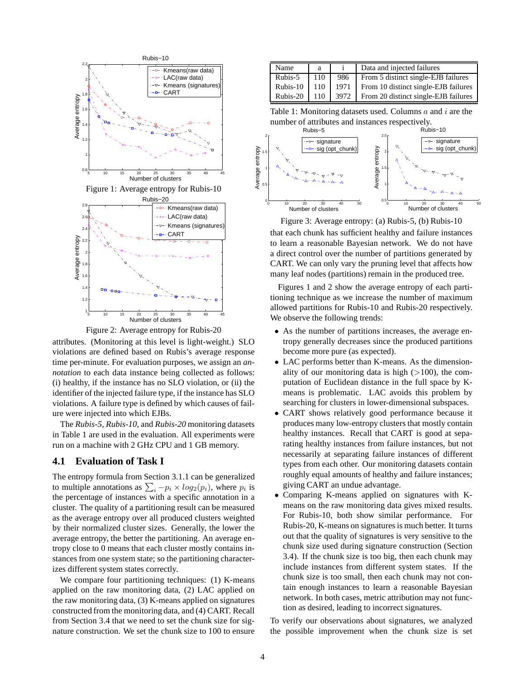

Figure 2: Average entropy for Rubis-20

attributes. (Monitoring at this level is light-weight.) SLO violations are defined based on Rubis's average response time per-minute. For evaluation purposes, we assign an *annotation* to each data instance being collected as follows: (i) healthy, if the instance has no SLO violation, or (ii) the identifier of the injected failure type, if the instance has SLO violations. A failure type is defined by which causes of failure were injected into which EJBs.

The *Rubis-5*, *Rubis-10*, and *Rubis-20* monitoring datasets in Table 1 are used in the evaluation. All experiments were run on a machine with 2 GHz CPU and 1 GB memory.

## **4.1 Evaluation of Task I**

The entropy formula from Section 3.1.1 can be generalized to multiple annotations as  $\sum_i -p_i \times log_2(p_i)$ , where  $p_i$  is the percentage of instances with a specific annotation in a cluster. The quality of a partitioning result can be measured as the average entropy over all produced clusters weighted by their normalized cluster sizes. Generally, the lower the average entropy, the better the partitioning. An average entropy close to 0 means that each cluster mostly contains instances from one system state; so the partitioning characterizes different system states correctly.

We compare four partitioning techniques: (1) K-means applied on the raw monitoring data, (2) LAC applied on the raw monitoring data, (3) K-means applied on signatures constructed from the monitoring data, and (4) CART. Recall from Section 3.4 that we need to set the chunk size for signature construction. We set the chunk size to 100 to ensure

| Name     | a   |      | Data and injected failures           |
|----------|-----|------|--------------------------------------|
| Rubis-5  | 110 | 986  | From 5 distinct single-EJB failures  |
| Rubis-10 | 110 | 1971 | From 10 distinct single-EJB failures |
| Rubis-20 | 110 | 3972 | From 20 distinct single-EJB failures |

Table 1: Monitoring datasets used. Columns  $a$  and  $i$  are the number of attributes and instances respectively.



Figure 3: Average entropy: (a) Rubis-5, (b) Rubis-10

that each chunk has sufficient healthy and failure instances to learn a reasonable Bayesian network. We do not have a direct control over the number of partitions generated by CART. We can only vary the pruning level that affects how many leaf nodes (partitions) remain in the produced tree.

Figures 1 and 2 show the average entropy of each partitioning technique as we increase the number of maximum allowed partitions for Rubis-10 and Rubis-20 respectively. We observe the following trends:

- As the number of partitions increases, the average entropy generally decreases since the produced partitions become more pure (as expected).
- LAC performs better than K-means. As the dimensionality of our monitoring data is high  $(>100)$ , the computation of Euclidean distance in the full space by Kmeans is problematic. LAC avoids this problem by searching for clusters in lower-dimensional subspaces.
- CART shows relatively good performance because it produces many low-entropy clusters that mostly contain healthy instances. Recall that CART is good at separating healthy instances from failure instances, but not necessarily at separating failure instances of different types from each other. Our monitoring datasets contain roughly equal amounts of healthy and failure instances; giving CART an undue advantage.
- Comparing K-means applied on signatures with Kmeans on the raw monitoring data gives mixed results. For Rubis-10, both show similar performance. For Rubis-20, K-means on signatures is much better. It turns out that the quality of signatures is very sensitive to the chunk size used during signature construction (Section 3.4). If the chunk size is too big, then each chunk may include instances from different system states. If the chunk size is too small, then each chunk may not contain enough instances to learn a reasonable Bayesian network. In both cases, metric attribution may not function as desired, leading to incorrect signatures.

To verify our observations about signatures, we analyzed the possible improvement when the chunk size is set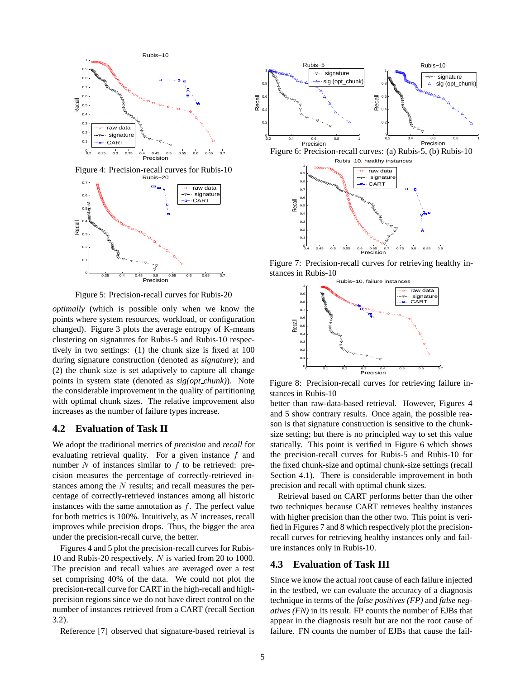

Figure 5: Precision-recall curves for Rubis-20

*optimally* (which is possible only when we know the points where system resources, workload, or configuration changed). Figure 3 plots the average entropy of K-means clustering on signatures for Rubis-5 and Rubis-10 respectively in two settings: (1) the chunk size is fixed at 100 during signature construction (denoted as *signature*); and (2) the chunk size is set adaptively to capture all change points in system state (denoted as *sig(opt chunk)*). Note the considerable improvement in the quality of partitioning with optimal chunk sizes. The relative improvement also increases as the number of failure types increase.

## **4.2 Evaluation of Task II**

We adopt the traditional metrics of *precision* and *recall* for evaluating retrieval quality. For a given instance  $f$  and number  $N$  of instances similar to  $f$  to be retrieved: precision measures the percentage of correctly-retrieved instances among the  $N$  results; and recall measures the percentage of correctly-retrieved instances among all historic instances with the same annotation as  $f$ . The perfect value for both metrics is  $100\%$ . Intuitively, as  $N$  increases, recall improves while precision drops. Thus, the bigger the area under the precision-recall curve, the better.

Figures 4 and 5 plot the precision-recall curves for Rubis-10 and Rubis-20 respectively. N is varied from 20 to 1000. The precision and recall values are averaged over a test set comprising 40% of the data. We could not plot the precision-recall curve for CART in the high-recall and highprecision regions since we do not have direct control on the number of instances retrieved from a CART (recall Section 3.2).

Reference [7] observed that signature-based retrieval is



Figure 7: Precision-recall curves for retrieving healthy instances in Rubis-10



Figure 8: Precision-recall curves for retrieving failure instances in Rubis-10

better than raw-data-based retrieval. However, Figures 4 and 5 show contrary results. Once again, the possible reason is that signature construction is sensitive to the chunksize setting; but there is no principled way to set this value statically. This point is verified in Figure 6 which shows the precision-recall curves for Rubis-5 and Rubis-10 for the fixed chunk-size and optimal chunk-size settings (recall Section 4.1). There is considerable improvement in both precision and recall with optimal chunk sizes.

Retrieval based on CART performs better than the other two techniques because CART retrieves healthy instances with higher precision than the other two. This point is verified in Figures 7 and 8 which respectively plot the precisionrecall curves for retrieving healthy instances only and failure instances only in Rubis-10.

## **4.3 Evaluation of Task III**

Since we know the actual root cause of each failure injected in the testbed, we can evaluate the accuracy of a diagnosis technique in terms of the *false positives (FP)* and *false negatives (FN)* in its result. FP counts the number of EJBs that appear in the diagnosis result but are not the root cause of failure. FN counts the number of EJBs that cause the fail-